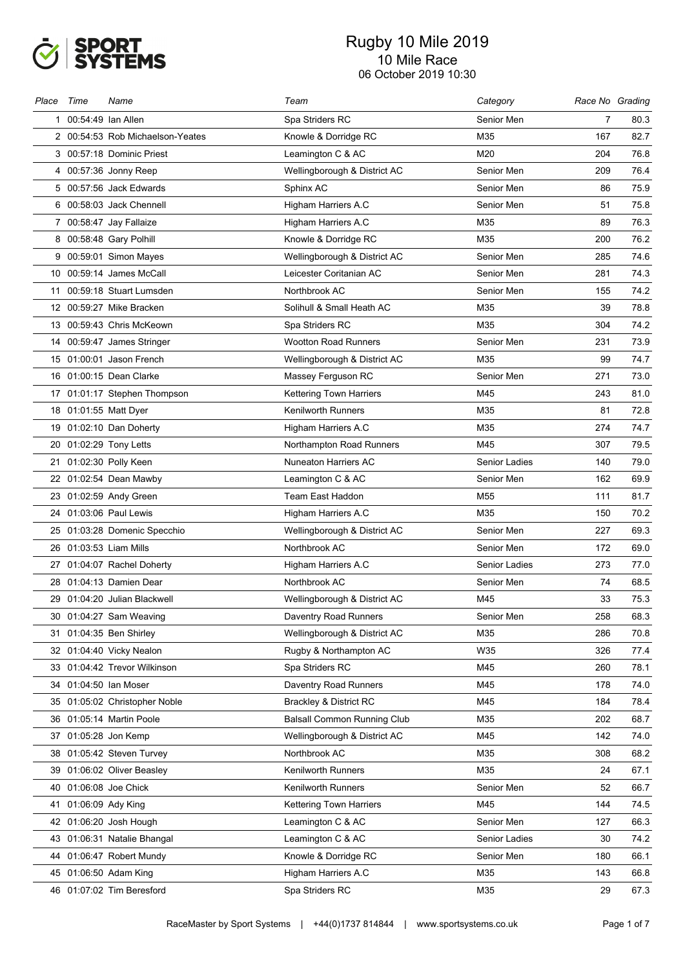

| Place | Time                 | Name                             | Team                               | Category      | Race No Grading |      |
|-------|----------------------|----------------------------------|------------------------------------|---------------|-----------------|------|
|       | 1 00:54:49 Ian Allen |                                  | Spa Striders RC                    | Senior Men    | 7               | 80.3 |
|       |                      | 2 00:54:53 Rob Michaelson-Yeates | Knowle & Dorridge RC               | M35           | 167             | 82.7 |
|       |                      | 3 00:57:18 Dominic Priest        | Leamington C & AC                  | M20           | 204             | 76.8 |
|       |                      | 4 00:57:36 Jonny Reep            | Wellingborough & District AC       | Senior Men    | 209             | 76.4 |
|       |                      | 5 00:57:56 Jack Edwards          | Sphinx AC                          | Senior Men    | 86              | 75.9 |
|       |                      | 6 00:58:03 Jack Chennell         | Higham Harriers A.C                | Senior Men    | 51              | 75.8 |
|       |                      | 7 00:58:47 Jay Fallaize          | Higham Harriers A.C                | M35           | 89              | 76.3 |
|       |                      | 8 00:58:48 Gary Polhill          | Knowle & Dorridge RC               | M35           | 200             | 76.2 |
|       |                      | 9 00:59:01 Simon Mayes           | Wellingborough & District AC       | Senior Men    | 285             | 74.6 |
|       |                      | 10 00:59:14 James McCall         | Leicester Coritanian AC            | Senior Men    | 281             | 74.3 |
|       |                      | 11 00:59:18 Stuart Lumsden       | Northbrook AC                      | Senior Men    | 155             | 74.2 |
|       |                      | 12 00:59:27 Mike Bracken         | Solihull & Small Heath AC          | M35           | 39              | 78.8 |
|       |                      | 13 00:59:43 Chris McKeown        | Spa Striders RC                    | M35           | 304             | 74.2 |
|       |                      | 14 00:59:47 James Stringer       | <b>Wootton Road Runners</b>        | Senior Men    | 231             | 73.9 |
|       |                      | 15 01:00:01 Jason French         | Wellingborough & District AC       | M35           | 99              | 74.7 |
|       |                      | 16 01:00:15 Dean Clarke          | Massey Ferguson RC                 | Senior Men    | 271             | 73.0 |
|       |                      | 17 01:01:17 Stephen Thompson     | Kettering Town Harriers            | M45           | 243             | 81.0 |
|       |                      | 18 01:01:55 Matt Dyer            | <b>Kenilworth Runners</b>          | M35           | 81              | 72.8 |
|       |                      | 19 01:02:10 Dan Doherty          | <b>Higham Harriers A.C</b>         | M35           | 274             | 74.7 |
|       |                      | 20 01:02:29 Tony Letts           | Northampton Road Runners           | M45           | 307             | 79.5 |
|       |                      | 21 01:02:30 Polly Keen           | <b>Nuneaton Harriers AC</b>        | Senior Ladies | 140             | 79.0 |
|       |                      | 22 01:02:54 Dean Mawby           | Leamington C & AC                  | Senior Men    | 162             | 69.9 |
|       |                      | 23 01:02:59 Andy Green           | Team East Haddon                   | M55           | 111             | 81.7 |
|       |                      | 24 01:03:06 Paul Lewis           | Higham Harriers A.C                | M35           | 150             | 70.2 |
|       |                      | 25 01:03:28 Domenic Specchio     | Wellingborough & District AC       | Senior Men    | 227             | 69.3 |
|       |                      | 26 01:03:53 Liam Mills           | Northbrook AC                      | Senior Men    | 172             | 69.0 |
|       |                      | 27 01:04:07 Rachel Doherty       | Higham Harriers A.C                | Senior Ladies | 273             | 77.0 |
|       |                      | 28 01:04:13 Damien Dear          | Northbrook AC                      | Senior Men    | 74              | 68.5 |
|       |                      | 29 01:04:20 Julian Blackwell     | Wellingborough & District AC       | M45           | 33              | 75.3 |
|       |                      | 30 01:04:27 Sam Weaving          | Daventry Road Runners              | Senior Men    | 258             | 68.3 |
| 31    |                      | 01:04:35 Ben Shirley             | Wellingborough & District AC       | M35           | 286             | 70.8 |
|       |                      | 32 01:04:40 Vicky Nealon         | Rugby & Northampton AC             | W35           | 326             | 77.4 |
| 33    |                      | 01:04:42 Trevor Wilkinson        | Spa Striders RC                    | M45           | 260             | 78.1 |
|       |                      | 34 01:04:50 Ian Moser            | Daventry Road Runners              | M45           | 178             | 74.0 |
| 35    |                      | 01:05:02 Christopher Noble       | <b>Brackley &amp; District RC</b>  | M45           | 184             | 78.4 |
|       |                      | 36 01:05:14 Martin Poole         | <b>Balsall Common Running Club</b> | M35           | 202             | 68.7 |
|       |                      | 37 01:05:28 Jon Kemp             | Wellingborough & District AC       | M45           | 142             | 74.0 |
|       |                      | 38 01:05:42 Steven Turvey        | Northbrook AC                      | M35           | 308             | 68.2 |
| 39    |                      | 01:06:02 Oliver Beasley          | Kenilworth Runners                 | M35           | 24              | 67.1 |
|       |                      | 40 01:06:08 Joe Chick            | <b>Kenilworth Runners</b>          | Senior Men    | 52              | 66.7 |
|       | 41 01:06:09 Ady King |                                  | Kettering Town Harriers            | M45           | 144             | 74.5 |
|       |                      | 42 01:06:20 Josh Hough           | Leamington C & AC                  | Senior Men    | 127             | 66.3 |
|       |                      | 43 01:06:31 Natalie Bhangal      | Leamington C & AC                  | Senior Ladies | 30              | 74.2 |
|       |                      | 44 01:06:47 Robert Mundy         | Knowle & Dorridge RC               | Senior Men    | 180             | 66.1 |
|       |                      | 45 01:06:50 Adam King            | Higham Harriers A.C                | M35           | 143             | 66.8 |
|       |                      | 46 01:07:02 Tim Beresford        | Spa Striders RC                    | M35           | 29              | 67.3 |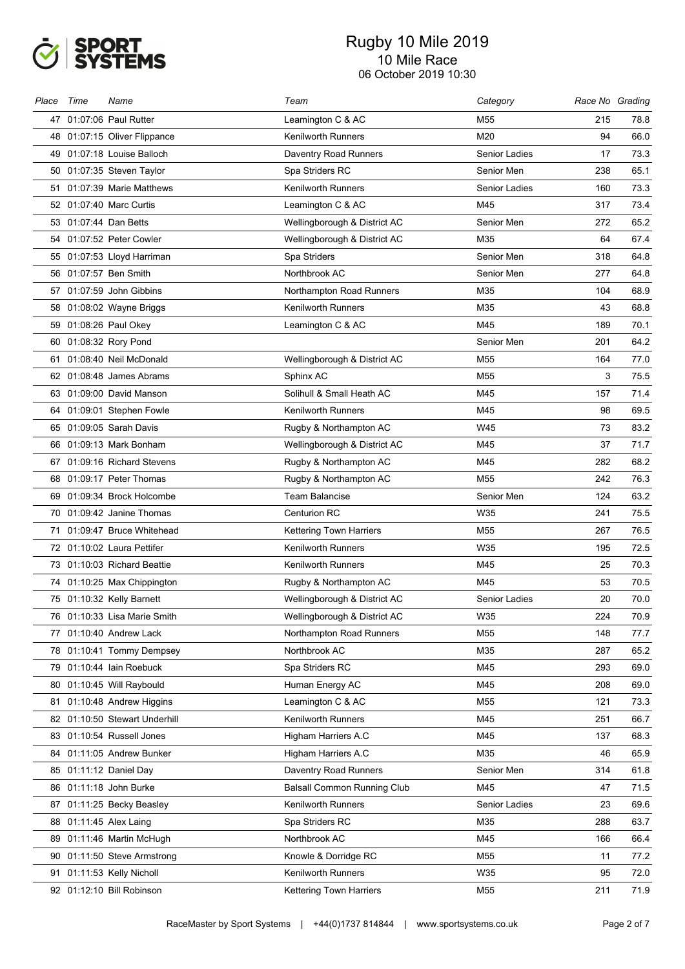

| Place | Time | Name                          | Team                               | Category             | Race No Grading |      |
|-------|------|-------------------------------|------------------------------------|----------------------|-----------------|------|
|       |      | 47 01:07:06 Paul Rutter       | Leamington C & AC                  | M <sub>55</sub>      | 215             | 78.8 |
|       |      | 48 01:07:15 Oliver Flippance  | <b>Kenilworth Runners</b>          | M20                  | 94              | 66.0 |
|       |      | 49 01:07:18 Louise Balloch    | <b>Daventry Road Runners</b>       | <b>Senior Ladies</b> | 17              | 73.3 |
|       |      | 50 01:07:35 Steven Taylor     | Spa Striders RC                    | Senior Men           | 238             | 65.1 |
|       |      | 51 01:07:39 Marie Matthews    | <b>Kenilworth Runners</b>          | Senior Ladies        | 160             | 73.3 |
|       |      | 52 01:07:40 Marc Curtis       | Leamington C & AC                  | M45                  | 317             | 73.4 |
|       |      | 53 01:07:44 Dan Betts         | Wellingborough & District AC       | Senior Men           | 272             | 65.2 |
|       |      | 54 01:07:52 Peter Cowler      | Wellingborough & District AC       | M35                  | 64              | 67.4 |
|       |      | 55 01:07:53 Lloyd Harriman    | Spa Striders                       | Senior Men           | 318             | 64.8 |
| 56    |      | 01:07:57 Ben Smith            | Northbrook AC                      | Senior Men           | 277             | 64.8 |
|       |      | 57 01:07:59 John Gibbins      | Northampton Road Runners           | M35                  | 104             | 68.9 |
|       |      | 58 01:08:02 Wayne Briggs      | <b>Kenilworth Runners</b>          | M35                  | 43              | 68.8 |
|       |      | 59 01:08:26 Paul Okey         | Leamington C & AC                  | M45                  | 189             | 70.1 |
| 60    |      | 01:08:32 Rory Pond            |                                    | Senior Men           | 201             | 64.2 |
|       |      | 61 01:08:40 Neil McDonald     | Wellingborough & District AC       | M <sub>55</sub>      | 164             | 77.0 |
|       |      | 62 01:08:48 James Abrams      | Sphinx AC                          | M <sub>55</sub>      | 3               | 75.5 |
|       |      | 63 01:09:00 David Manson      | Solihull & Small Heath AC          | M45                  | 157             | 71.4 |
| 64    |      | 01:09:01 Stephen Fowle        | <b>Kenilworth Runners</b>          | M45                  | 98              | 69.5 |
|       |      | 65 01:09:05 Sarah Davis       | Rugby & Northampton AC             | W45                  | 73              | 83.2 |
|       |      | 66 01:09:13 Mark Bonham       | Wellingborough & District AC       | M45                  | 37              | 71.7 |
|       |      | 67 01:09:16 Richard Stevens   | Rugby & Northampton AC             | M45                  | 282             | 68.2 |
|       |      | 68 01:09:17 Peter Thomas      | Rugby & Northampton AC             | M <sub>55</sub>      | 242             | 76.3 |
|       |      | 69 01:09:34 Brock Holcombe    | Team Balancise                     | Senior Men           | 124             | 63.2 |
|       |      | 70 01:09:42 Janine Thomas     | <b>Centurion RC</b>                | W35                  | 241             | 75.5 |
|       |      | 71 01:09:47 Bruce Whitehead   | Kettering Town Harriers            | M <sub>55</sub>      | 267             | 76.5 |
|       |      | 72 01:10:02 Laura Pettifer    | <b>Kenilworth Runners</b>          | W35                  | 195             | 72.5 |
|       |      | 73 01:10:03 Richard Beattie   | <b>Kenilworth Runners</b>          | M45                  | 25              | 70.3 |
|       |      | 74 01:10:25 Max Chippington   | Rugby & Northampton AC             | M45                  | 53              | 70.5 |
|       |      | 75 01:10:32 Kelly Barnett     | Wellingborough & District AC       | Senior Ladies        | 20              | 70.0 |
|       |      | 76 01:10:33 Lisa Marie Smith  | Wellingborough & District AC       | W35                  | 224             | 70.9 |
|       |      | 77 01:10:40 Andrew Lack       | Northampton Road Runners           | M55                  | 148             | 77.7 |
|       |      | 78 01:10:41 Tommy Dempsey     | Northbrook AC                      | M35                  | 287             | 65.2 |
|       |      | 79 01:10:44 Iain Roebuck      | Spa Striders RC                    | M45                  | 293             | 69.0 |
|       |      | 80 01:10:45 Will Raybould     | Human Energy AC                    | M45                  | 208             | 69.0 |
| 81    |      | 01:10:48 Andrew Higgins       | Leamington C & AC                  | M55                  | 121             | 73.3 |
|       |      | 82 01:10:50 Stewart Underhill | Kenilworth Runners                 | M45                  | 251             | 66.7 |
|       |      | 83 01:10:54 Russell Jones     | Higham Harriers A.C                | M45                  | 137             | 68.3 |
|       |      | 84 01:11:05 Andrew Bunker     | Higham Harriers A.C                | M35                  | 46              | 65.9 |
|       |      | 85 01:11:12 Daniel Day        | <b>Daventry Road Runners</b>       | Senior Men           | 314             | 61.8 |
|       |      | 86 01:11:18 John Burke        | <b>Balsall Common Running Club</b> | M45                  | 47              | 71.5 |
| 87    |      | 01:11:25 Becky Beasley        | <b>Kenilworth Runners</b>          | Senior Ladies        | 23              | 69.6 |
|       |      | 88 01:11:45 Alex Laing        | Spa Striders RC                    | M35                  | 288             | 63.7 |
| 89    |      | 01:11:46 Martin McHugh        | Northbrook AC                      | M45                  | 166             | 66.4 |
|       |      | 90 01:11:50 Steve Armstrong   | Knowle & Dorridge RC               | M55                  | 11              | 77.2 |
| 91    |      | 01:11:53 Kelly Nicholl        | <b>Kenilworth Runners</b>          | W35                  | 95              | 72.0 |
|       |      | 92 01:12:10 Bill Robinson     | Kettering Town Harriers            | M55                  | 211             | 71.9 |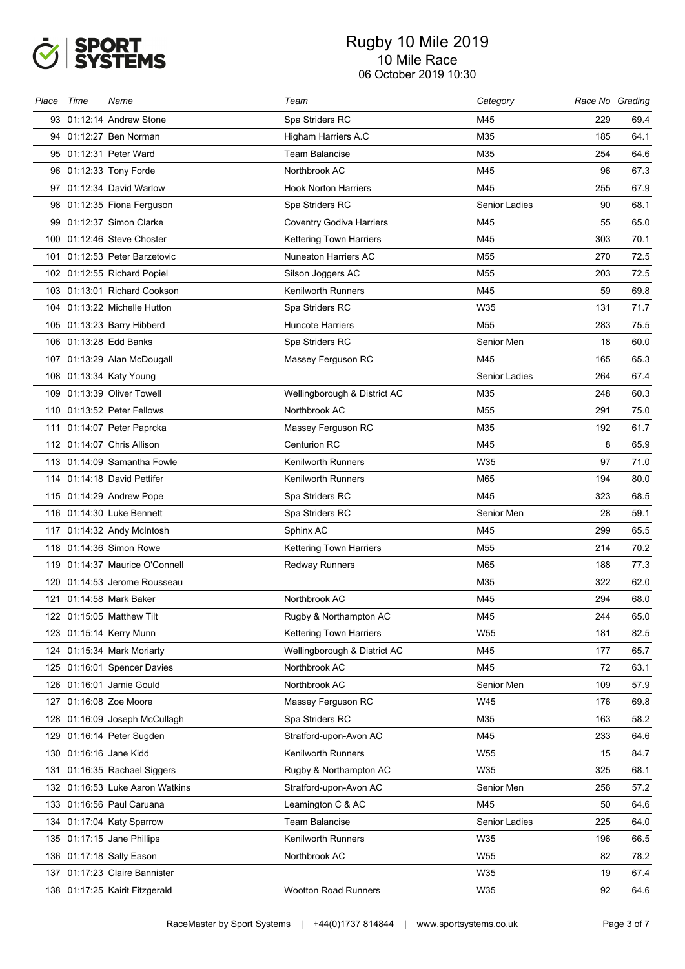

| Place | Time | Name                            | Team                            | Category        | Race No Grading |      |
|-------|------|---------------------------------|---------------------------------|-----------------|-----------------|------|
|       |      | 93 01:12:14 Andrew Stone        | Spa Striders RC                 | M45             | 229             | 69.4 |
|       |      | 94 01:12:27 Ben Norman          | Higham Harriers A.C             | M35             | 185             | 64.1 |
|       |      | 95 01:12:31 Peter Ward          | <b>Team Balancise</b>           | M35             | 254             | 64.6 |
|       |      | 96 01:12:33 Tony Forde          | Northbrook AC                   | M45             | 96              | 67.3 |
|       |      | 97 01:12:34 David Warlow        | <b>Hook Norton Harriers</b>     | M45             | 255             | 67.9 |
|       |      | 98 01:12:35 Fiona Ferguson      | Spa Striders RC                 | Senior Ladies   | 90              | 68.1 |
|       |      | 99 01:12:37 Simon Clarke        | <b>Coventry Godiva Harriers</b> | M45             | 55              | 65.0 |
|       |      | 100 01:12:46 Steve Choster      | <b>Kettering Town Harriers</b>  | M45             | 303             | 70.1 |
|       |      | 101 01:12:53 Peter Barzetovic   | <b>Nuneaton Harriers AC</b>     | M55             | 270             | 72.5 |
|       |      | 102 01:12:55 Richard Popiel     | Silson Joggers AC               | M <sub>55</sub> | 203             | 72.5 |
|       |      | 103 01:13:01 Richard Cookson    | <b>Kenilworth Runners</b>       | M45             | 59              | 69.8 |
|       |      | 104 01:13:22 Michelle Hutton    | Spa Striders RC                 | W35             | 131             | 71.7 |
|       |      | 105 01:13:23 Barry Hibberd      | <b>Huncote Harriers</b>         | M55             | 283             | 75.5 |
|       |      | 106 01:13:28 Edd Banks          | Spa Striders RC                 | Senior Men      | 18              | 60.0 |
|       |      | 107 01:13:29 Alan McDougall     | Massey Ferguson RC              | M45             | 165             | 65.3 |
|       |      | 108 01:13:34 Katy Young         |                                 | Senior Ladies   | 264             | 67.4 |
|       |      | 109 01:13:39 Oliver Towell      | Wellingborough & District AC    | M35             | 248             | 60.3 |
|       |      | 110 01:13:52 Peter Fellows      | Northbrook AC                   | M <sub>55</sub> | 291             | 75.0 |
|       |      | 111 01:14:07 Peter Paprcka      | Massey Ferguson RC              | M35             | 192             | 61.7 |
|       |      | 112 01:14:07 Chris Allison      | <b>Centurion RC</b>             | M45             | 8               | 65.9 |
|       |      | 113 01:14:09 Samantha Fowle     | <b>Kenilworth Runners</b>       | W35             | 97              | 71.0 |
|       |      | 114 01:14:18 David Pettifer     | Kenilworth Runners              | M65             | 194             | 80.0 |
|       |      | 115 01:14:29 Andrew Pope        | Spa Striders RC                 | M45             | 323             | 68.5 |
|       |      | 116 01:14:30 Luke Bennett       | Spa Striders RC                 | Senior Men      | 28              | 59.1 |
|       |      | 117 01:14:32 Andy McIntosh      | Sphinx AC                       | M45             | 299             | 65.5 |
|       |      | 118 01:14:36 Simon Rowe         | <b>Kettering Town Harriers</b>  | M55             | 214             | 70.2 |
|       |      | 119 01:14:37 Maurice O'Connell  | <b>Redway Runners</b>           | M65             | 188             | 77.3 |
|       |      | 120 01:14:53 Jerome Rousseau    |                                 | M35             | 322             | 62.0 |
|       |      | 121 01:14:58 Mark Baker         | Northbrook AC                   | M45             | 294             | 68.0 |
|       |      | 122 01:15:05 Matthew Tilt       | Rugby & Northampton AC          | M45             | 244             | 65.0 |
|       |      | 123 01:15:14 Kerry Munn         | <b>Kettering Town Harriers</b>  | W <sub>55</sub> | 181             | 82.5 |
|       |      | 124 01:15:34 Mark Moriarty      | Wellingborough & District AC    | M45             | 177             | 65.7 |
|       |      | 125 01:16:01 Spencer Davies     | Northbrook AC                   | M45             | 72              | 63.1 |
|       |      | 126 01:16:01 Jamie Gould        | Northbrook AC                   | Senior Men      | 109             | 57.9 |
| 127   |      | 01:16:08 Zoe Moore              | Massey Ferguson RC              | W45             | 176             | 69.8 |
|       |      | 128 01:16:09 Joseph McCullagh   | Spa Striders RC                 | M35             | 163             | 58.2 |
|       |      | 129 01:16:14 Peter Sugden       | Stratford-upon-Avon AC          | M45             | 233             | 64.6 |
|       |      | 130 01:16:16 Jane Kidd          | <b>Kenilworth Runners</b>       | W55             | 15              | 84.7 |
| 131   |      | 01:16:35 Rachael Siggers        | Rugby & Northampton AC          | W35             | 325             | 68.1 |
|       |      | 132 01:16:53 Luke Aaron Watkins | Stratford-upon-Avon AC          | Senior Men      | 256             | 57.2 |
|       |      | 133 01:16:56 Paul Caruana       | Leamington C & AC               | M45             | 50              | 64.6 |
|       |      | 134 01:17:04 Katy Sparrow       | <b>Team Balancise</b>           | Senior Ladies   | 225             | 64.0 |
|       |      | 135 01:17:15 Jane Phillips      | Kenilworth Runners              | W35             | 196             | 66.5 |
|       |      | 136 01:17:18 Sally Eason        | Northbrook AC                   | W <sub>55</sub> | 82              | 78.2 |
|       |      | 137 01:17:23 Claire Bannister   |                                 | W35             | 19              | 67.4 |
|       |      | 138 01:17:25 Kairit Fitzgerald  | <b>Wootton Road Runners</b>     | W35             | 92              | 64.6 |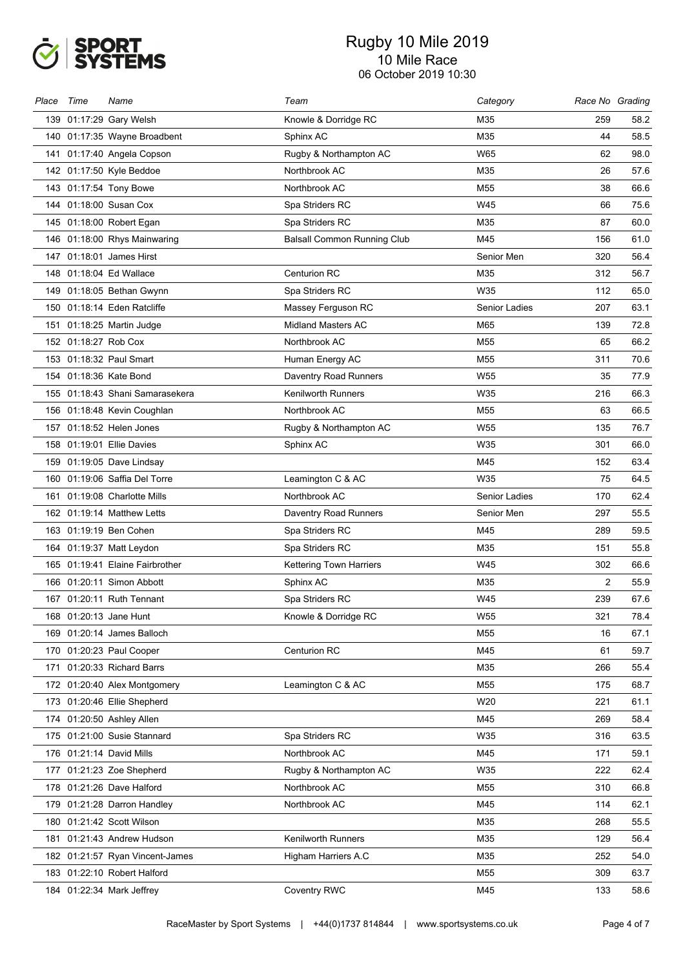

| Place | Time                 | Name                            | Team                               | Category        | Race No Grading |      |
|-------|----------------------|---------------------------------|------------------------------------|-----------------|-----------------|------|
|       |                      | 139 01:17:29 Gary Welsh         | Knowle & Dorridge RC               | M35             | 259             | 58.2 |
|       |                      | 140 01:17:35 Wayne Broadbent    | Sphinx AC                          | M35             | 44              | 58.5 |
|       |                      | 141 01:17:40 Angela Copson      | Rugby & Northampton AC             | W65             | 62              | 98.0 |
|       |                      | 142 01:17:50 Kyle Beddoe        | Northbrook AC                      | M35             | 26              | 57.6 |
|       |                      | 143 01:17:54 Tony Bowe          | Northbrook AC                      | M <sub>55</sub> | 38              | 66.6 |
|       |                      | 144 01:18:00 Susan Cox          | Spa Striders RC                    | W45             | 66              | 75.6 |
|       |                      | 145 01:18:00 Robert Egan        | Spa Striders RC                    | M35             | 87              | 60.0 |
|       |                      | 146 01:18:00 Rhys Mainwaring    | <b>Balsall Common Running Club</b> | M45             | 156             | 61.0 |
|       |                      | 147 01:18:01 James Hirst        |                                    | Senior Men      | 320             | 56.4 |
|       |                      | 148 01:18:04 Ed Wallace         | <b>Centurion RC</b>                | M35             | 312             | 56.7 |
|       |                      | 149 01:18:05 Bethan Gwynn       | Spa Striders RC                    | W35             | 112             | 65.0 |
|       |                      | 150 01:18:14 Eden Ratcliffe     | Massey Ferguson RC                 | Senior Ladies   | 207             | 63.1 |
|       |                      | 151 01:18:25 Martin Judge       | <b>Midland Masters AC</b>          | M65             | 139             | 72.8 |
|       | 152 01:18:27 Rob Cox |                                 | Northbrook AC                      | M <sub>55</sub> | 65              | 66.2 |
|       |                      | 153 01:18:32 Paul Smart         | Human Energy AC                    | M55             | 311             | 70.6 |
|       |                      | 154 01:18:36 Kate Bond          | Daventry Road Runners              | W55             | 35              | 77.9 |
|       |                      | 155 01:18:43 Shani Samarasekera | <b>Kenilworth Runners</b>          | W35             | 216             | 66.3 |
|       |                      | 156 01:18:48 Kevin Coughlan     | Northbrook AC                      | M55             | 63              | 66.5 |
|       |                      | 157 01:18:52 Helen Jones        | Rugby & Northampton AC             | W <sub>55</sub> | 135             | 76.7 |
|       |                      | 158 01:19:01 Ellie Davies       | Sphinx AC                          | W35             | 301             | 66.0 |
|       |                      | 159 01:19:05 Dave Lindsay       |                                    | M45             | 152             | 63.4 |
|       |                      | 160 01:19:06 Saffia Del Torre   | Leamington C & AC                  | W35             | 75              | 64.5 |
|       |                      | 161 01:19:08 Charlotte Mills    | Northbrook AC                      | Senior Ladies   | 170             | 62.4 |
|       |                      | 162 01:19:14 Matthew Letts      | Daventry Road Runners              | Senior Men      | 297             | 55.5 |
|       |                      | 163 01:19:19 Ben Cohen          | Spa Striders RC                    | M45             | 289             | 59.5 |
|       |                      | 164 01:19:37 Matt Leydon        | Spa Striders RC                    | M35             | 151             | 55.8 |
|       |                      | 165 01:19:41 Elaine Fairbrother | <b>Kettering Town Harriers</b>     | W45             | 302             | 66.6 |
|       |                      | 166 01:20:11 Simon Abbott       | Sphinx AC                          | M35             | $\overline{2}$  | 55.9 |
|       |                      | 167 01:20:11 Ruth Tennant       | Spa Striders RC                    | W45             | 239             | 67.6 |
|       |                      | 168 01:20:13 Jane Hunt          | Knowle & Dorridge RC               | W55             | 321             | 78.4 |
|       |                      | 169 01:20:14 James Balloch      |                                    | M55             | 16              | 67.1 |
|       |                      | 170 01:20:23 Paul Cooper        | <b>Centurion RC</b>                | M45             | 61              | 59.7 |
|       |                      | 171 01:20:33 Richard Barrs      |                                    | M35             | 266             | 55.4 |
|       |                      | 172 01:20:40 Alex Montgomery    | Leamington C & AC                  | M55             | 175             | 68.7 |
|       |                      | 173 01:20:46 Ellie Shepherd     |                                    | W20             | 221             | 61.1 |
|       |                      | 174 01:20:50 Ashley Allen       |                                    | M45             | 269             | 58.4 |
|       |                      | 175 01:21:00 Susie Stannard     | Spa Striders RC                    | W35             | 316             | 63.5 |
|       |                      | 176 01:21:14 David Mills        | Northbrook AC                      | M45             | 171             | 59.1 |
|       |                      | 177 01:21:23 Zoe Shepherd       | Rugby & Northampton AC             | W35             | 222             | 62.4 |
|       |                      | 178 01:21:26 Dave Halford       | Northbrook AC                      | M55             | 310             | 66.8 |
|       |                      | 179 01:21:28 Darron Handley     | Northbrook AC                      | M45             | 114             | 62.1 |
|       |                      | 180 01:21:42 Scott Wilson       |                                    | M35             | 268             | 55.5 |
|       |                      | 181 01:21:43 Andrew Hudson      | <b>Kenilworth Runners</b>          | M35             | 129             | 56.4 |
|       |                      | 182 01:21:57 Ryan Vincent-James | Higham Harriers A.C                | M35             | 252             | 54.0 |
|       |                      | 183 01:22:10 Robert Halford     |                                    | M55             | 309             | 63.7 |
|       |                      | 184 01:22:34 Mark Jeffrey       | <b>Coventry RWC</b>                | M45             | 133             | 58.6 |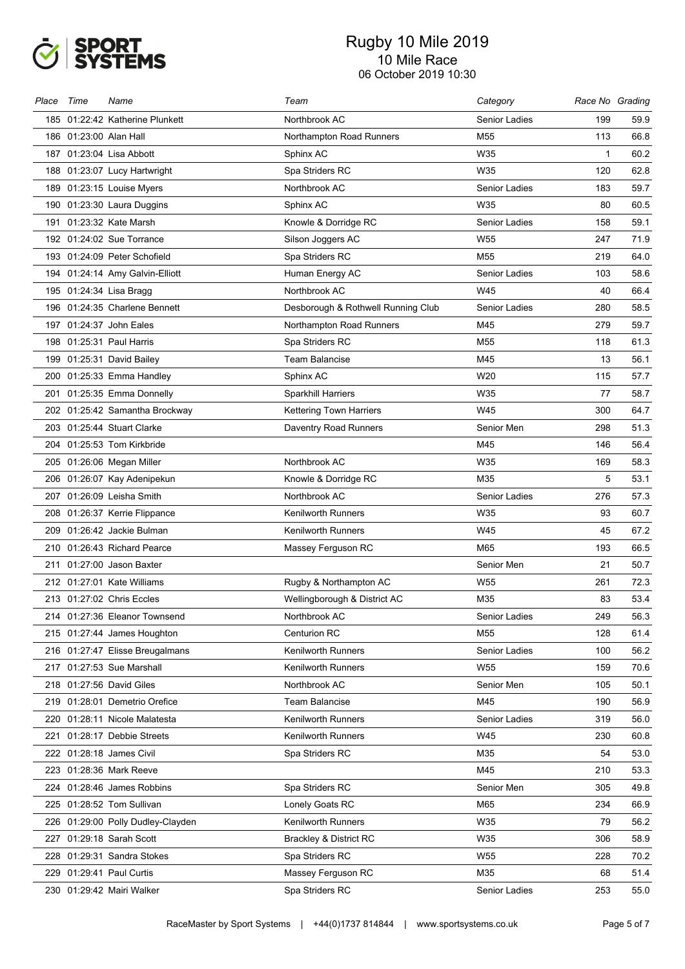

| Place | Time                   | Name                              | Team                               | Category             | Race No Grading |      |
|-------|------------------------|-----------------------------------|------------------------------------|----------------------|-----------------|------|
|       |                        | 185 01:22:42 Katherine Plunkett   | Northbrook AC                      | Senior Ladies        | 199             | 59.9 |
|       | 186 01:23:00 Alan Hall |                                   | Northampton Road Runners           | M55                  | 113             | 66.8 |
|       |                        | 187 01:23:04 Lisa Abbott          | Sphinx AC                          | W35                  | $\mathbf{1}$    | 60.2 |
|       |                        | 188 01:23:07 Lucy Hartwright      | Spa Striders RC                    | W35                  | 120             | 62.8 |
|       |                        | 189 01:23:15 Louise Myers         | Northbrook AC                      | Senior Ladies        | 183             | 59.7 |
|       |                        | 190 01:23:30 Laura Duggins        | Sphinx AC                          | W35                  | 80              | 60.5 |
|       |                        | 191 01:23:32 Kate Marsh           | Knowle & Dorridge RC               | <b>Senior Ladies</b> | 158             | 59.1 |
|       |                        | 192 01:24:02 Sue Torrance         | Silson Joggers AC                  | W <sub>55</sub>      | 247             | 71.9 |
|       |                        | 193 01:24:09 Peter Schofield      | Spa Striders RC                    | M <sub>55</sub>      | 219             | 64.0 |
|       |                        | 194 01:24:14 Amy Galvin-Elliott   | Human Energy AC                    | Senior Ladies        | 103             | 58.6 |
|       |                        | 195 01:24:34 Lisa Bragg           | Northbrook AC                      | W45                  | 40              | 66.4 |
|       |                        | 196 01:24:35 Charlene Bennett     | Desborough & Rothwell Running Club | Senior Ladies        | 280             | 58.5 |
|       |                        | 197 01:24:37 John Eales           | Northampton Road Runners           | M45                  | 279             | 59.7 |
|       |                        | 198 01:25:31 Paul Harris          | Spa Striders RC                    | M <sub>55</sub>      | 118             | 61.3 |
|       |                        | 199 01:25:31 David Bailey         | <b>Team Balancise</b>              | M45                  | 13              | 56.1 |
|       |                        | 200 01:25:33 Emma Handley         | Sphinx AC                          | W20                  | 115             | 57.7 |
|       |                        | 201 01:25:35 Emma Donnelly        | Sparkhill Harriers                 | W35                  | 77              | 58.7 |
|       |                        | 202 01:25:42 Samantha Brockway    | <b>Kettering Town Harriers</b>     | W45                  | 300             | 64.7 |
|       |                        | 203 01:25:44 Stuart Clarke        | Daventry Road Runners              | Senior Men           | 298             | 51.3 |
|       |                        | 204 01:25:53 Tom Kirkbride        |                                    | M45                  | 146             | 56.4 |
|       |                        | 205 01:26:06 Megan Miller         | Northbrook AC                      | W35                  | 169             | 58.3 |
|       |                        | 206 01:26:07 Kay Adenipekun       | Knowle & Dorridge RC               | M35                  | 5               | 53.1 |
|       |                        | 207 01:26:09 Leisha Smith         | Northbrook AC                      | Senior Ladies        | 276             | 57.3 |
|       |                        | 208 01:26:37 Kerrie Flippance     | <b>Kenilworth Runners</b>          | W35                  | 93              | 60.7 |
|       |                        | 209 01:26:42 Jackie Bulman        | <b>Kenilworth Runners</b>          | W45                  | 45              | 67.2 |
|       |                        | 210 01:26:43 Richard Pearce       | Massey Ferguson RC                 | M65                  | 193             | 66.5 |
|       |                        | 211 01:27:00 Jason Baxter         |                                    | Senior Men           | 21              | 50.7 |
|       |                        | 212 01:27:01 Kate Williams        | Rugby & Northampton AC             | W <sub>55</sub>      | 261             | 72.3 |
|       |                        | 213 01:27:02 Chris Eccles         | Wellingborough & District AC       | M35                  | 83              | 53.4 |
|       |                        | 214 01:27:36 Eleanor Townsend     | Northbrook AC                      | Senior Ladies        | 249             | 56.3 |
|       |                        | 215 01:27:44 James Houghton       | <b>Centurion RC</b>                | M55                  | 128             | 61.4 |
|       |                        | 216 01:27:47 Elisse Breugalmans   | <b>Kenilworth Runners</b>          | Senior Ladies        | 100             | 56.2 |
|       |                        | 217 01:27:53 Sue Marshall         | <b>Kenilworth Runners</b>          | W55                  | 159             | 70.6 |
|       |                        | 218 01:27:56 David Giles          | Northbrook AC                      | Senior Men           | 105             | 50.1 |
|       |                        | 219 01:28:01 Demetrio Orefice     | <b>Team Balancise</b>              | M45                  | 190             | 56.9 |
|       |                        | 220 01:28:11 Nicole Malatesta     | <b>Kenilworth Runners</b>          | Senior Ladies        | 319             | 56.0 |
|       |                        | 221 01:28:17 Debbie Streets       | Kenilworth Runners                 | W45                  | 230             | 60.8 |
|       |                        | 222 01:28:18 James Civil          | Spa Striders RC                    | M35                  | 54              | 53.0 |
|       |                        | 223 01:28:36 Mark Reeve           |                                    | M45                  | 210             | 53.3 |
|       |                        | 224 01:28:46 James Robbins        | Spa Striders RC                    | Senior Men           | 305             | 49.8 |
|       |                        | 225 01:28:52 Tom Sullivan         | Lonely Goats RC                    | M65                  | 234             | 66.9 |
|       |                        | 226 01:29:00 Polly Dudley-Clayden | <b>Kenilworth Runners</b>          | W35                  | 79              | 56.2 |
|       |                        | 227 01:29:18 Sarah Scott          | Brackley & District RC             | W35                  | 306             | 58.9 |
|       |                        | 228 01:29:31 Sandra Stokes        | Spa Striders RC                    | W55                  | 228             | 70.2 |
|       |                        | 229 01:29:41 Paul Curtis          | Massey Ferguson RC                 | M35                  | 68              | 51.4 |
|       |                        | 230 01:29:42 Mairi Walker         | Spa Striders RC                    | Senior Ladies        | 253             | 55.0 |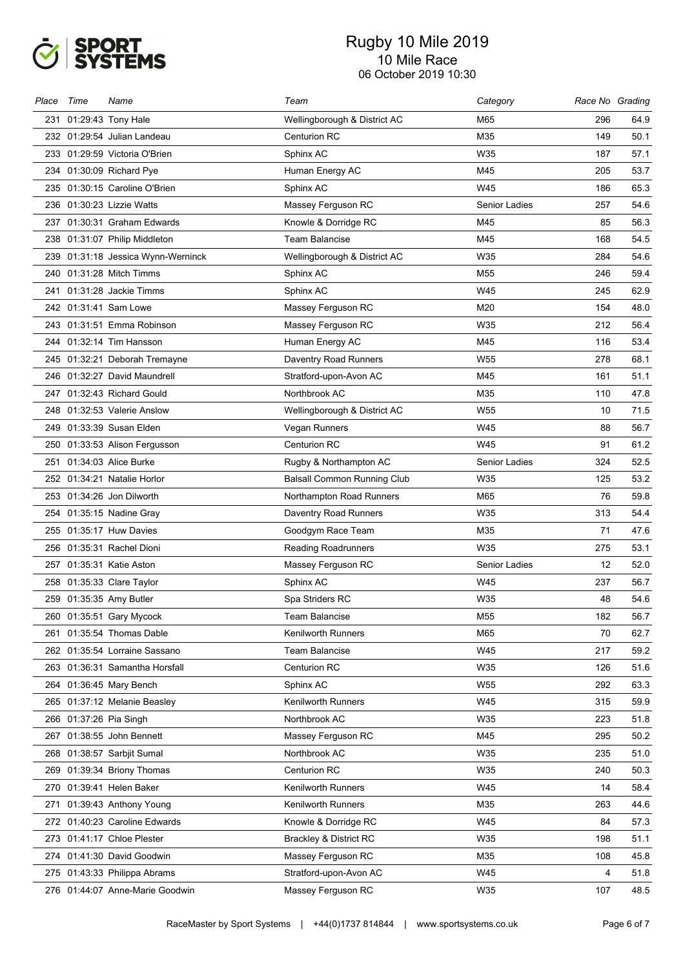

| Place | Time | Name                               | Team                               | Category        | Race No Grading |      |
|-------|------|------------------------------------|------------------------------------|-----------------|-----------------|------|
|       |      | 231 01:29:43 Tony Hale             | Wellingborough & District AC       | M65             | 296             | 64.9 |
|       |      | 232 01:29:54 Julian Landeau        | <b>Centurion RC</b>                | M35             | 149             | 50.1 |
|       |      | 233 01:29:59 Victoria O'Brien      | Sphinx AC                          | W35             | 187             | 57.1 |
|       |      | 234 01:30:09 Richard Pye           | Human Energy AC                    | M45             | 205             | 53.7 |
|       |      | 235 01:30:15 Caroline O'Brien      | Sphinx AC                          | W45             | 186             | 65.3 |
|       |      | 236 01:30:23 Lizzie Watts          | Massey Ferguson RC                 | Senior Ladies   | 257             | 54.6 |
|       |      | 237 01:30:31 Graham Edwards        | Knowle & Dorridge RC               | M45             | 85              | 56.3 |
|       |      | 238 01:31:07 Philip Middleton      | <b>Team Balancise</b>              | M45             | 168             | 54.5 |
|       |      | 239 01:31:18 Jessica Wynn-Werninck | Wellingborough & District AC       | W35             | 284             | 54.6 |
|       |      | 240 01:31:28 Mitch Timms           | Sphinx AC                          | M <sub>55</sub> | 246             | 59.4 |
|       |      | 241 01:31:28 Jackie Timms          | Sphinx AC                          | W45             | 245             | 62.9 |
|       |      | 242 01:31:41 Sam Lowe              | Massey Ferguson RC                 | M20             | 154             | 48.0 |
|       |      | 243 01:31:51 Emma Robinson         | Massey Ferguson RC                 | W35             | 212             | 56.4 |
|       |      | 244 01:32:14 Tim Hansson           | Human Energy AC                    | M45             | 116             | 53.4 |
|       |      | 245 01:32:21 Deborah Tremayne      | Daventry Road Runners              | W <sub>55</sub> | 278             | 68.1 |
|       |      | 246 01:32:27 David Maundrell       | Stratford-upon-Avon AC             | M45             | 161             | 51.1 |
|       |      | 247 01:32:43 Richard Gould         | Northbrook AC                      | M35             | 110             | 47.8 |
|       |      | 248 01:32:53 Valerie Anslow        | Wellingborough & District AC       | W <sub>55</sub> | 10              | 71.5 |
|       |      | 249 01:33:39 Susan Elden           | Vegan Runners                      | W45             | 88              | 56.7 |
|       |      | 250 01:33:53 Alison Fergusson      | <b>Centurion RC</b>                | W45             | 91              | 61.2 |
|       |      | 251 01:34:03 Alice Burke           | Rugby & Northampton AC             | Senior Ladies   | 324             | 52.5 |
|       |      | 252 01:34:21 Natalie Horlor        | <b>Balsall Common Running Club</b> | W35             | 125             | 53.2 |
|       |      | 253 01:34:26 Jon Dilworth          | Northampton Road Runners           | M65             | 76              | 59.8 |
|       |      | 254 01:35:15 Nadine Gray           | Daventry Road Runners              | W35             | 313             | 54.4 |
|       |      | 255 01:35:17 Huw Davies            | Goodgym Race Team                  | M35             | 71              | 47.6 |
|       |      | 256 01:35:31 Rachel Dioni          | Reading Roadrunners                | W35             | 275             | 53.1 |
|       |      | 257   01:35:31  Katie Aston        | Massey Ferguson RC                 | Senior Ladies   | 12              | 52.0 |
|       |      | 258 01:35:33 Clare Taylor          | Sphinx AC                          | W45             | 237             | 56.7 |
|       |      | 259 01:35:35 Amy Butler            | Spa Striders RC                    | W35             | 48              | 54.6 |
|       |      | 260 01:35:51 Gary Mycock           | Team Balancise                     | M55             | 182             | 56.7 |
| 261.  |      | 01:35:54 Thomas Dable              | <b>Kenilworth Runners</b>          | M65             | 70              | 62.7 |
|       |      | 262 01:35:54 Lorraine Sassano      | <b>Team Balancise</b>              | W45             | 217             | 59.2 |
|       |      | 263 01:36:31 Samantha Horsfall     | <b>Centurion RC</b>                | W35             | 126             | 51.6 |
|       |      | 264 01:36:45 Mary Bench            | Sphinx AC                          | W55             | 292             | 63.3 |
|       |      | 265 01:37:12 Melanie Beasley       | Kenilworth Runners                 | W45             | 315             | 59.9 |
|       |      | 266 01:37:26 Pia Singh             | Northbrook AC                      | W35             | 223             | 51.8 |
|       |      | 267 01:38:55 John Bennett          | Massey Ferguson RC                 | M45             | 295             | 50.2 |
|       |      | 268 01:38:57 Sarbjit Sumal         | Northbrook AC                      | W35             | 235             | 51.0 |
|       |      | 269 01:39:34 Briony Thomas         | Centurion RC                       | W35             | 240             | 50.3 |
|       |      | 270 01:39:41 Helen Baker           | <b>Kenilworth Runners</b>          | W45             | 14              | 58.4 |
|       |      | 271 01:39:43 Anthony Young         | <b>Kenilworth Runners</b>          | M35             | 263             | 44.6 |
|       |      | 272 01:40:23 Caroline Edwards      | Knowle & Dorridge RC               | W45             | 84              | 57.3 |
|       |      | 273 01:41:17 Chloe Plester         | Brackley & District RC             | W35             | 198             | 51.1 |
|       |      | 274 01:41:30 David Goodwin         | Massey Ferguson RC                 | M35             | 108             | 45.8 |
|       |      | 275 01:43:33 Philippa Abrams       | Stratford-upon-Avon AC             | W45             | 4               | 51.8 |
|       |      | 276 01:44:07 Anne-Marie Goodwin    | Massey Ferguson RC                 | W35             | 107             | 48.5 |